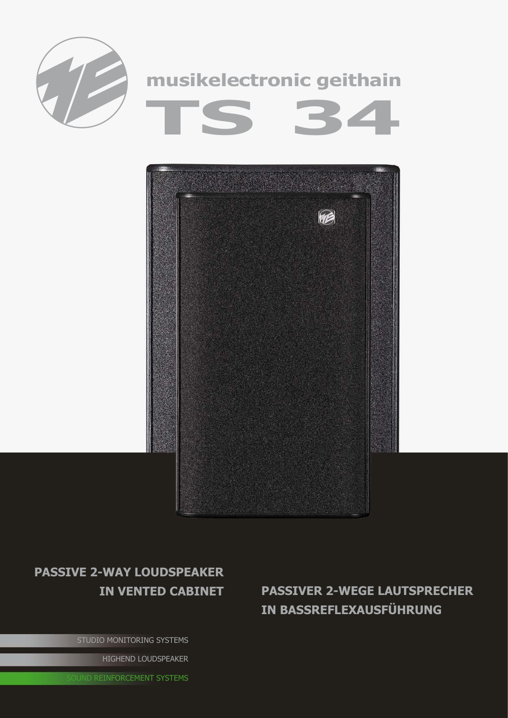



## **passive 2-way Loudspeaker**

STUDIO MONITORING SYSTEMS

HIGHEND LOUDSPEAKER

**UND REINFORCEMENT SYSTEMS** 

**in vented cabinet passiveR 2-wEGE lAUTSPRECHER IN BASSREFLEXAUSFÜHRUNG**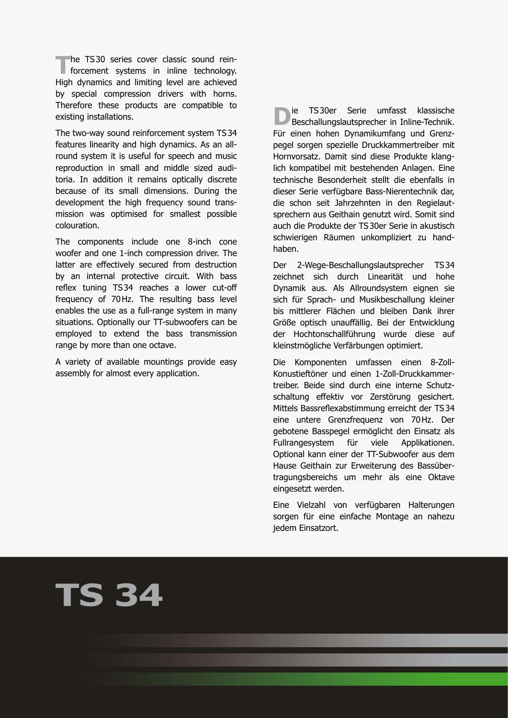**The TS30 series cover classic sound rein-**<br>
forcement systems in inline technology. High dynamics and limiting level are achieved by special compression drivers with horns. Therefore these products are compatible to existing installations.

The two-way sound reinforcement system TS34 features linearity and high dynamics. As an allround system it is useful for speech and music reproduction in small and middle sized auditoria. In addition it remains optically discrete because of its small dimensions. During the development the high frequency sound transmission was optimised for smallest possible colouration.

The components include one 8-inch cone woofer and one 1-inch compression driver. The latter are effectively secured from destruction by an internal protective circuit. With bass reflex tuning TS34 reaches a lower cut-off frequency of 70Hz. The resulting bass level enables the use as a full-range system in many situations. Optionally our TT-subwoofers can be employed to extend the bass transmission range by more than one octave.

A variety of available mountings provide easy assembly for almost every application.

**D**ie TS30er Serie umfasst klassische<br>Beschallungslautsprecher in Inline-Technik. Für einen hohen Dynamikumfang und Grenzpegel sorgen spezielle Druckkammertreiber mit Hornvorsatz. Damit sind diese Produkte klanglich kompatibel mit bestehenden Anlagen. Eine technische Besonderheit stellt die ebenfalls in dieser Serie verfügbare Bass-Nierentechnik dar, die schon seit Jahrzehnten in den Regielautsprechern aus Geithain genutzt wird. Somit sind auch die Produkte der TS30er Serie in akustisch schwierigen Räumen unkompliziert zu handhaben.

Der 2-Wege-Beschallungslautsprecher TS34 zeichnet sich durch Linearität und hohe Dynamik aus. Als Allroundsystem eignen sie sich für Sprach- und Musikbeschallung kleiner bis mittlerer Flächen und bleiben Dank ihrer Größe optisch unauffällig. Bei der Entwicklung der Hochtonschallführung wurde diese auf kleinstmögliche Verfärbungen optimiert.

Die Komponenten umfassen einen 8-Zoll-Konustieftöner und einen 1-Zoll-Druckkammertreiber. Beide sind durch eine interne Schutzschaltung effektiv vor Zerstörung gesichert. Mittels Bassreflexabstimmung erreicht der TS34 eine untere Grenzfrequenz von 70Hz. Der gebotene Basspegel ermöglicht den Einsatz als Fullrangesystem für viele Applikationen. Optional kann einer der TT-Subwoofer aus dem Hause Geithain zur Erweiterung des Bassübertragungsbereichs um mehr als eine Oktave eingesetzt werden.

Eine Vielzahl von verfügbaren Halterungen sorgen für eine einfache Montage an nahezu jedem Einsatzort.

## **TS 34**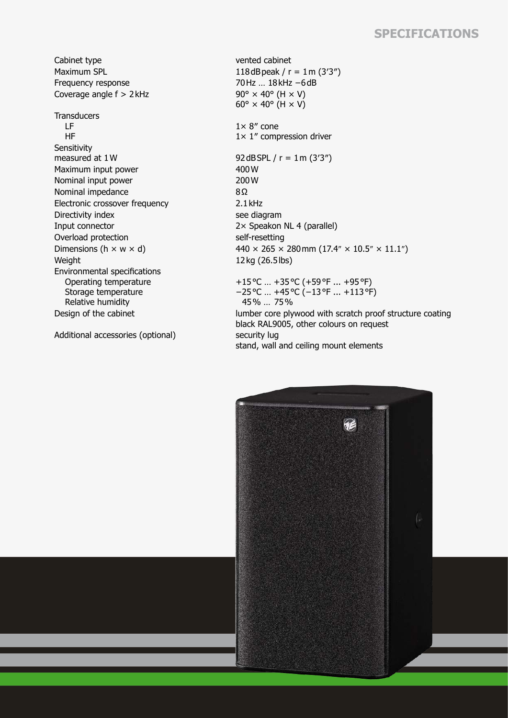## **Specifications**

Cabinet type vented cabinet Maximum SPL  $118 dB$ peak / r = 1m (3'3") Frequency response 70Hz … 18kHz −6dB Coverage angle  $f > 2$  kHz 90°  $\times$  40° (H  $\times$  V) **Transducers**  LF HF **Sensitivity** measured at  $1 \text{W}$  92dBSPL / r =  $1 \text{m} (3'3'')$ Maximum input power 400 W

Nominal input power 200 W Nominal impedance 8Ω Electronic crossover frequency 2.1 kHz Directivity index see diagram Input connector 2× Speakon NL 4 (parallel) Overload protection self-resetting Weight 12kg (26.5lbs) Environmental specifications Operating temperature Storage temperature Relative humidity

Additional accessories (optional) security lug

 $60^\circ \times 40^\circ$  (H  $\times$  V)  $1 \times 8$ " cone 1× 1″ compression driver Dimensions (h  $\times$  w  $\times$  d) 440  $\times$  265  $\times$  280 mm (17.4"  $\times$  10.5"  $\times$  11.1") +15°C … +35°C (+59°F ... +95°F) −25°C … +45°C (−13°F ... +113°F) 45% … 75% Design of the cabinet lumber core plywood with scratch proof structure coating black RAL9005, other colours on request stand, wall and ceiling mount elements